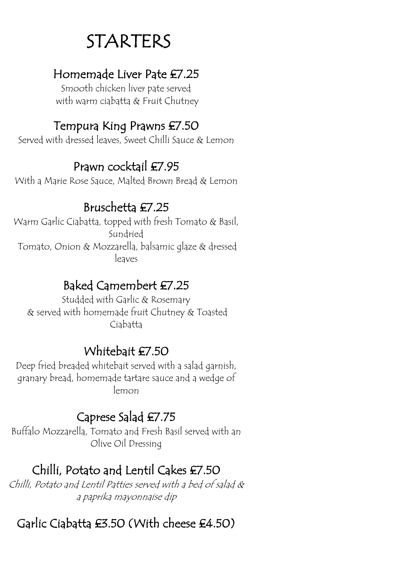## STARTERS

#### Homemade Liver Pate £7.25

Smooth chicken liver pate served with warm ciabatta & Fruit Chutney

#### Tempura King Prawns £7.50

Served with dressed leaves, Sweet Chilli Sauce & Lemon

### Prawn cocktail £7.95

With a Marie Rose Sauce, Malted Brown Bread & Lemon

### Bruschetta £7.25

Warm Garlic Ciabatta, topped with fresh Tomato & Basil, Sundried Tomato, Onion & Mozzarella, balsamic glaze & dressed leaves

#### Baked Camembert £7.25

Studded with Garlic & Rosemary & served with homemade fruit Chutney & Toasted Ciabatta

### Whitebait £7.50

Deep fried breaded whitebait served with a salad garnish, granary bread, homemade tartare sauce and a wedge of lemon

## Caprese Salad £7.75

Buffalo Mozzarella, Tomato and Fresh Basil served with an Olive Oil Dressing

## Chilli, Potato and Lentil Cakes £7.50

Chilli, Potato and Lentil Patties served with a bed of salad & a paprika mayonnaise dip

## Garlic Ciabatta £3.50 (With cheese £4.50)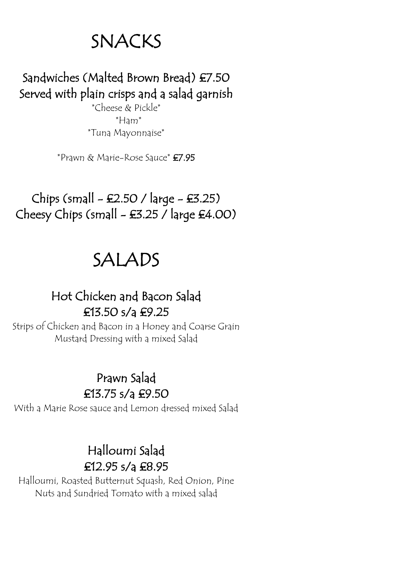## SNACKS

## Sandwiches (Malted Brown Bread) £7.50 Served with plain crisps and a salad garnish

\*Cheese & Pickle\* \*Ham\* \*Tuna Mayonnaise\*

\*Prawn & Marie-Rose Sauce\* £7.95

Chips (small  $-$  £2.50 / large  $-$  £3.25) Cheesy Chips (small  $-$  £3.25 / large £4.00)

## SALADS

#### Hot Chicken and Bacon Salad £13.50 s/a £9.25

Strips of Chicken and Bacon in a Honey and Coarse Grain Mustard Dressing with a mixed Salad

## Prawn Salad

£13.75 s/a £9.50

With a Marie Rose sauce and Lemon dressed mixed Salad

#### Halloumi Salad £12.95 s/a £8.95

Halloumi, Roasted Butternut Squash, Red Onion, Pine Nuts and Sundried Tomato with a mixed salad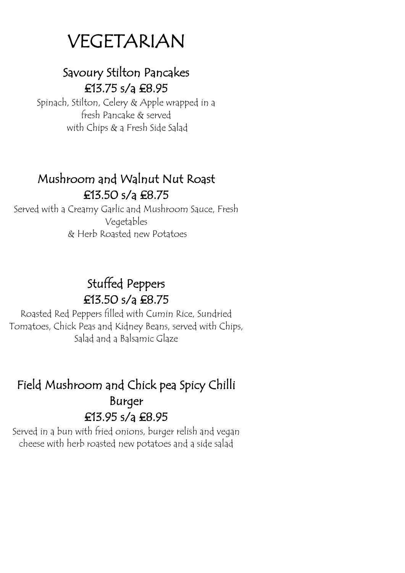## VEGETARIAN

#### Savoury Stilton Pancakes £13.75 s/a £8.95

Spinach, Stilton, Celery & Apple wrapped in a fresh Pancake & served with Chips & a Fresh Side Salad

#### Mushroom and Walnut Nut Roast £13.50 s/a £8.75

Served with a Creamy Garlic and Mushroom Sauce, Fresh Vegetables & Herb Roasted new Potatoes

## Stuffed Peppers £13.50 s/a £8.75

Roasted Red Peppers filled with Cumin Rice, Sundried Tomatoes, Chick Peas and Kidney Beans, served with Chips, Salad and a Balsamic Glaze

### Field Mushroom and Chick pea Spicy Chilli Burger £13.95 s/a £8.95

Served in a bun with fried onions, burger relish and vegan cheese with herb roasted new potatoes and a side salad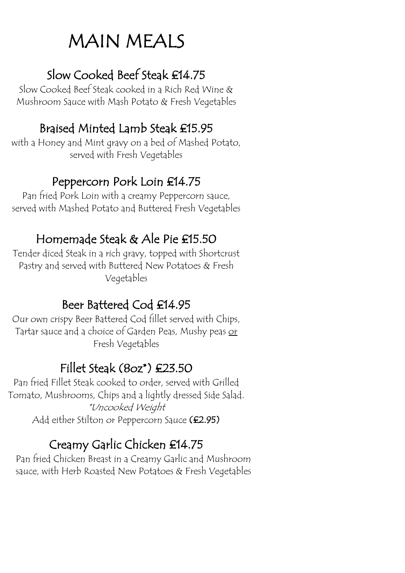## MAIN MEALS

### Slow Cooked Beef Steak £14.75

Slow Cooked Beef Steak cooked in a Rich Red Wine & Mushroom Sauce with Mash Potato & Fresh Vegetables

## Braised Minted Lamb Steak £15.95

with a Honey and Mint gravy on a bed of Mashed Potato, served with Fresh Vegetables

### Peppercorn Pork Loin £14.75

Pan fried Pork Loin with a creamy Peppercorn sauce, served with Mashed Potato and Buttered Fresh Vegetables

### Homemade Steak & Ale Pie £15.50

Tender diced Steak in a rich gravy, topped with Shortcrust Pastry and served with Buttered New Potatoes & Fresh Vegetables

## Beer Battered Cod £14.95

Our own crispy Beer Battered Cod fillet served with Chips, Tartar sauce and a choice of Garden Peas, Mushy peas or Fresh Vegetables

## Fillet Steak (8oz\*) £23.50

Pan fried Fillet Steak cooked to order, served with Grilled Tomato, Mushrooms, Chips and a lightly dressed Side Salad. \*Uncooked Weight Add either Stilton or Peppercorn Sauce (£2.95)

## Creamy Garlic Chicken £14.75

Pan fried Chicken Breast in a Creamy Garlic and Mushroom sauce, with Herb Roasted New Potatoes & Fresh Vegetables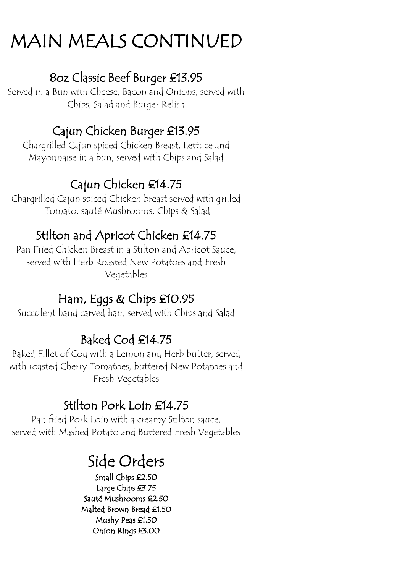## MAIN MEALS CONTINUED

#### 8oz Classic Beef Burger £13.95

Served in a Bun with Cheese, Bacon and Onions, served with Chips, Salad and Burger Relish

### Cajun Chicken Burger £13.95

Chargrilled Cajun spiced Chicken Breast, Lettuce and Mayonnaise in a bun, served with Chips and Salad

## Cajun Chicken £14.75

Chargrilled Cajun spiced Chicken breast served with grilled Tomato, sauté Mushrooms, Chips & Salad

## Stilton and Apricot Chicken £14.75

Pan Fried Chicken Breast in a Stilton and Apricot Sauce, served with Herb Roasted New Potatoes and Fresh Vegetables

## Ham, Eggs & Chips £10.95

Succulent hand carved ham served with Chips and Salad

## Baked Cod £14.75

Baked Fillet of Cod with a Lemon and Herb butter, served with roasted Cherry Tomatoes, buttered New Potatoes and Fresh Vegetables

## Stilton Pork Loin £14.75

Pan fried Pork Loin with a creamy Stilton sauce, served with Mashed Potato and Buttered Fresh Vegetables

## Side Orders

Small Chips £2.50 Large Chips £3.75 Sauté Mushrooms £2.50 Malted Brown Bread £1.50 Mushy Peas £1.50 Onion Rings £3.00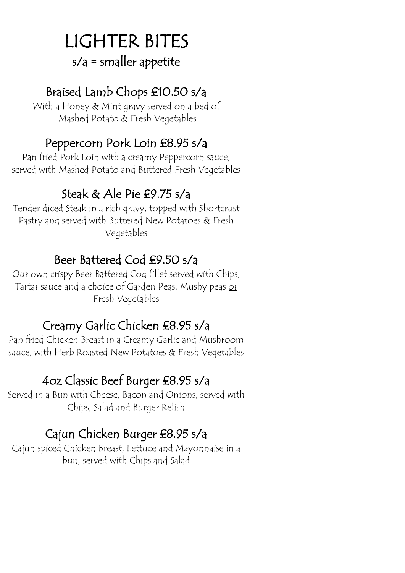## LIGHTER BITES s/a = smaller appetite

## Braised Lamb Chops £10.50 s/a

With a Honey & Mint gravy served on a bed of Mashed Potato & Fresh Vegetables

#### Peppercorn Pork Loin £8.95 s/a

Pan fried Pork Loin with a creamy Peppercorn sauce, served with Mashed Potato and Buttered Fresh Vegetables

### Steak & Ale Pie £9.75 s/a

Tender diced Steak in a rich gravy, topped with Shortcrust Pastry and served with Buttered New Potatoes & Fresh Vegetables

### Beer Battered Cod £9.50 s/a

Our own crispy Beer Battered Cod fillet served with Chips, Tartar sauce and a choice of Garden Peas, Mushy peas or Fresh Vegetables

## Creamy Garlic Chicken £8.95 s/a

Pan fried Chicken Breast in a Creamy Garlic and Mushroom sauce, with Herb Roasted New Potatoes & Fresh Vegetables

## 4oz Classic Beef Burger £8.95 s/a

Served in a Bun with Cheese, Bacon and Onions, served with Chips, Salad and Burger Relish

### Cajun Chicken Burger £8.95 s/a

Cajun spiced Chicken Breast, Lettuce and Mayonnaise in a bun, served with Chips and Salad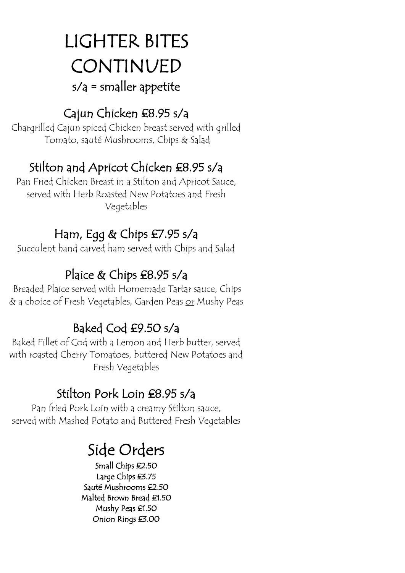## LIGHTER BITES CONTINUED  $s/a$  = smaller appetite

### Cajun Chicken £8.95 s/a

Chargrilled Cajun spiced Chicken breast served with grilled Tomato, sauté Mushrooms, Chips & Salad

## Stilton and Apricot Chicken £8.95 s/a

Pan Fried Chicken Breast in a Stilton and Apricot Sauce, served with Herb Roasted New Potatoes and Fresh Vegetables

### Ham, Egg & Chips £7.95 s/a

Succulent hand carved ham served with Chips and Salad

## Plaice & Chips £8.95 s/a

Breaded Plaice served with Homemade Tartar sauce, Chips & a choice of Fresh Vegetables, Garden Peas <u>or</u> Mushy Peas

## Baked Cod £9.50 s/a

Baked Fillet of Cod with a Lemon and Herb butter, served with roasted Cherry Tomatoes, buttered New Potatoes and Fresh Vegetables

## Stilton Pork Loin £8.95 s/a

Pan fried Pork Loin with a creamy Stilton sauce, served with Mashed Potato and Buttered Fresh Vegetables

# Side Orders<br>
Small Chips £2.50

Large Chips £3.75 Sauté Mushrooms £2.50 Malted Brown Bread £1.50 Mushy Peas £1.50 Onion Rings £3.00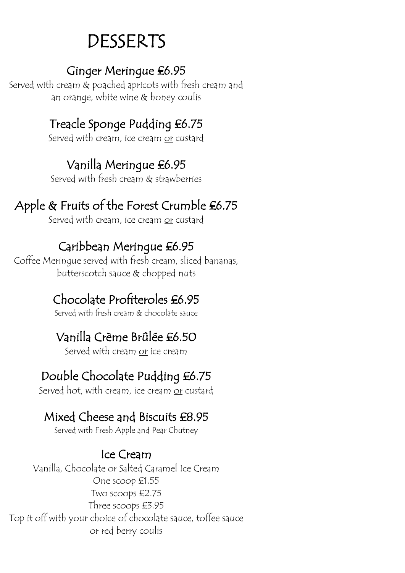## DESSERTS

#### Ginger Meringue £6.95

Served with cream & poached apricots with fresh cream and an orange, white wine & honey coulis

## Treacle Sponge Pudding £6.75

Served with cream, ice cream or custard

## Vanilla Meringue £6.95

Served with fresh cream & strawberries

## Apple & Fruits of the Forest Crumble £6.75

Served with cream, ice cream or custard

### Caribbean Meringue £6.95

Coffee Meringue served with fresh cream, sliced bananas, butterscotch sauce & chopped nuts

## Chocolate Profiteroles £6.95

Served with fresh cream & chocolate sauce

## Vanilla Crème Brûlée £6.50

Served with cream or ice cream

## Double Chocolate Pudding £6.75

Served hot, with cream, ice cream or custard

## Mixed Cheese and Biscuits £8.95

Served with Fresh Apple and Pear Chutney

### Ice Cream

Vanilla, Chocolate or Salted Caramel Ice Cream One scoop £1.55 Two scoops £2.75 Three scoops £3.95 Top it off with your choice of chocolate sauce, toffee sauce or red berry coulis